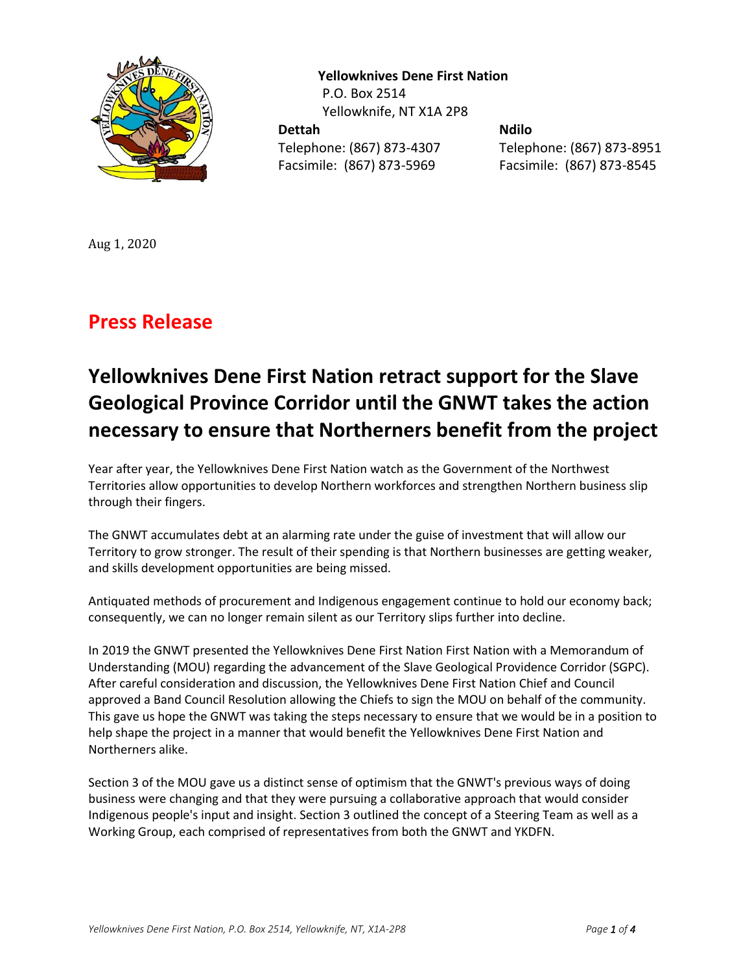

 **Yellowknives Dene First Nation** P.O. Box 2514 Yellowknife, NT X1A 2P8 **Dettah Ndilo** 

Facsimile: (867) 873-5969 Facsimile: (867) 873-8545

Telephone: (867) 873-4307 Telephone: (867) 873-8951

Aug 1, 2020

## **Press Release**

## **Yellowknives Dene First Nation retract support for the Slave Geological Province Corridor until the GNWT takes the action necessary to ensure that Northerners benefit from the project**

Year after year, the Yellowknives Dene First Nation watch as the Government of the Northwest Territories allow opportunities to develop Northern workforces and strengthen Northern business slip through their fingers.

The GNWT accumulates debt at an alarming rate under the guise of investment that will allow our Territory to grow stronger. The result of their spending is that Northern businesses are getting weaker, and skills development opportunities are being missed.

Antiquated methods of procurement and Indigenous engagement continue to hold our economy back; consequently, we can no longer remain silent as our Territory slips further into decline.

In 2019 the GNWT presented the Yellowknives Dene First Nation First Nation with a Memorandum of Understanding (MOU) regarding the advancement of the Slave Geological Providence Corridor (SGPC). After careful consideration and discussion, the Yellowknives Dene First Nation Chief and Council approved a Band Council Resolution allowing the Chiefs to sign the MOU on behalf of the community. This gave us hope the GNWT was taking the steps necessary to ensure that we would be in a position to help shape the project in a manner that would benefit the Yellowknives Dene First Nation and Northerners alike.

Section 3 of the MOU gave us a distinct sense of optimism that the GNWT's previous ways of doing business were changing and that they were pursuing a collaborative approach that would consider Indigenous people's input and insight. Section 3 outlined the concept of a Steering Team as well as a Working Group, each comprised of representatives from both the GNWT and YKDFN.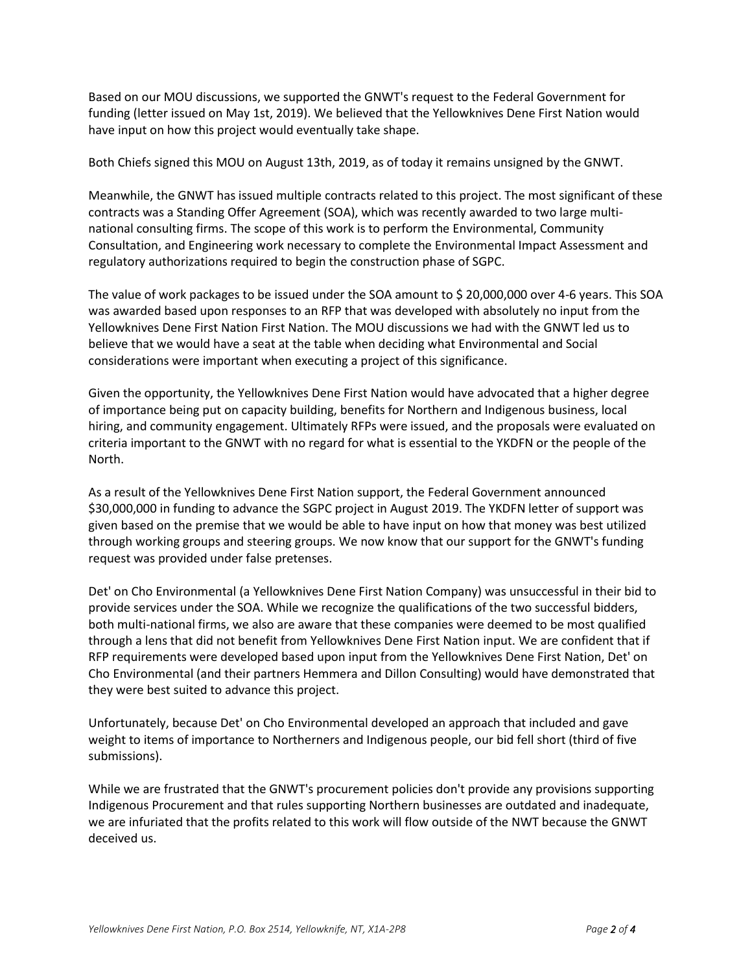Based on our MOU discussions, we supported the GNWT's request to the Federal Government for funding (letter issued on May 1st, 2019). We believed that the Yellowknives Dene First Nation would have input on how this project would eventually take shape.

Both Chiefs signed this MOU on August 13th, 2019, as of today it remains unsigned by the GNWT.

Meanwhile, the GNWT has issued multiple contracts related to this project. The most significant of these contracts was a Standing Offer Agreement (SOA), which was recently awarded to two large multinational consulting firms. The scope of this work is to perform the Environmental, Community Consultation, and Engineering work necessary to complete the Environmental Impact Assessment and regulatory authorizations required to begin the construction phase of SGPC.

The value of work packages to be issued under the SOA amount to \$ 20,000,000 over 4-6 years. This SOA was awarded based upon responses to an RFP that was developed with absolutely no input from the Yellowknives Dene First Nation First Nation. The MOU discussions we had with the GNWT led us to believe that we would have a seat at the table when deciding what Environmental and Social considerations were important when executing a project of this significance.

Given the opportunity, the Yellowknives Dene First Nation would have advocated that a higher degree of importance being put on capacity building, benefits for Northern and Indigenous business, local hiring, and community engagement. Ultimately RFPs were issued, and the proposals were evaluated on criteria important to the GNWT with no regard for what is essential to the YKDFN or the people of the North.

As a result of the Yellowknives Dene First Nation support, the Federal Government announced \$30,000,000 in funding to advance the SGPC project in August 2019. The YKDFN letter of support was given based on the premise that we would be able to have input on how that money was best utilized through working groups and steering groups. We now know that our support for the GNWT's funding request was provided under false pretenses.

Det' on Cho Environmental (a Yellowknives Dene First Nation Company) was unsuccessful in their bid to provide services under the SOA. While we recognize the qualifications of the two successful bidders, both multi-national firms, we also are aware that these companies were deemed to be most qualified through a lens that did not benefit from Yellowknives Dene First Nation input. We are confident that if RFP requirements were developed based upon input from the Yellowknives Dene First Nation, Det' on Cho Environmental (and their partners Hemmera and Dillon Consulting) would have demonstrated that they were best suited to advance this project.

Unfortunately, because Det' on Cho Environmental developed an approach that included and gave weight to items of importance to Northerners and Indigenous people, our bid fell short (third of five submissions).

While we are frustrated that the GNWT's procurement policies don't provide any provisions supporting Indigenous Procurement and that rules supporting Northern businesses are outdated and inadequate, we are infuriated that the profits related to this work will flow outside of the NWT because the GNWT deceived us.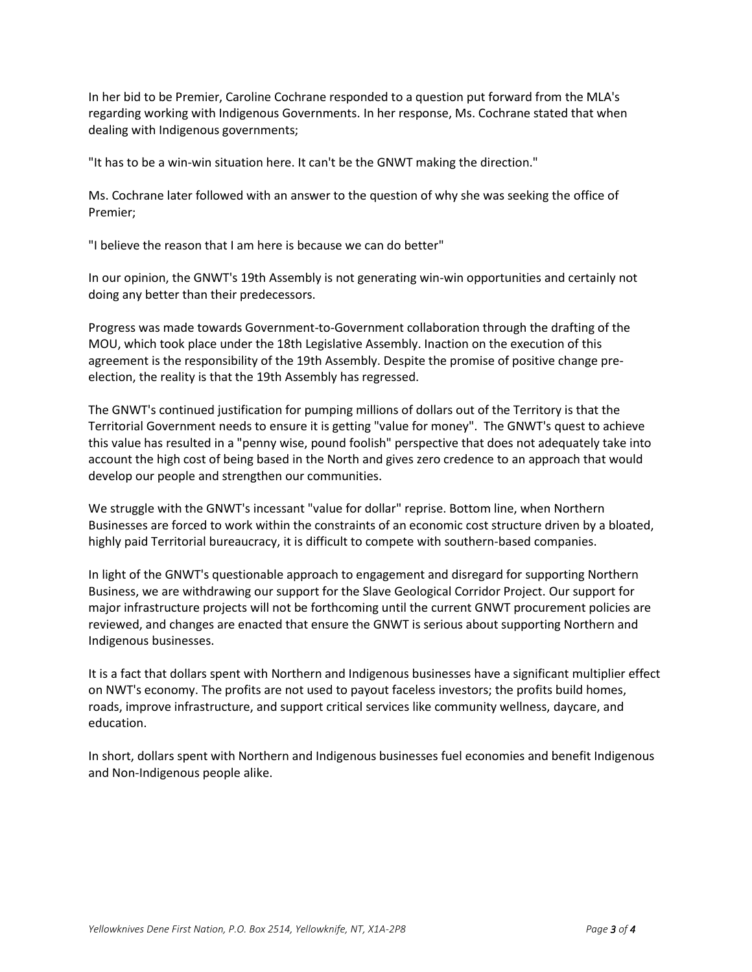In her bid to be Premier, Caroline Cochrane responded to a question put forward from the MLA's regarding working with Indigenous Governments. In her response, Ms. Cochrane stated that when dealing with Indigenous governments;

"It has to be a win-win situation here. It can't be the GNWT making the direction."

Ms. Cochrane later followed with an answer to the question of why she was seeking the office of Premier;

"I believe the reason that I am here is because we can do better"

In our opinion, the GNWT's 19th Assembly is not generating win-win opportunities and certainly not doing any better than their predecessors.

Progress was made towards Government-to-Government collaboration through the drafting of the MOU, which took place under the 18th Legislative Assembly. Inaction on the execution of this agreement is the responsibility of the 19th Assembly. Despite the promise of positive change preelection, the reality is that the 19th Assembly has regressed.

The GNWT's continued justification for pumping millions of dollars out of the Territory is that the Territorial Government needs to ensure it is getting "value for money". The GNWT's quest to achieve this value has resulted in a "penny wise, pound foolish" perspective that does not adequately take into account the high cost of being based in the North and gives zero credence to an approach that would develop our people and strengthen our communities.

We struggle with the GNWT's incessant "value for dollar" reprise. Bottom line, when Northern Businesses are forced to work within the constraints of an economic cost structure driven by a bloated, highly paid Territorial bureaucracy, it is difficult to compete with southern-based companies.

In light of the GNWT's questionable approach to engagement and disregard for supporting Northern Business, we are withdrawing our support for the Slave Geological Corridor Project. Our support for major infrastructure projects will not be forthcoming until the current GNWT procurement policies are reviewed, and changes are enacted that ensure the GNWT is serious about supporting Northern and Indigenous businesses.

It is a fact that dollars spent with Northern and Indigenous businesses have a significant multiplier effect on NWT's economy. The profits are not used to payout faceless investors; the profits build homes, roads, improve infrastructure, and support critical services like community wellness, daycare, and education.

In short, dollars spent with Northern and Indigenous businesses fuel economies and benefit Indigenous and Non-Indigenous people alike.